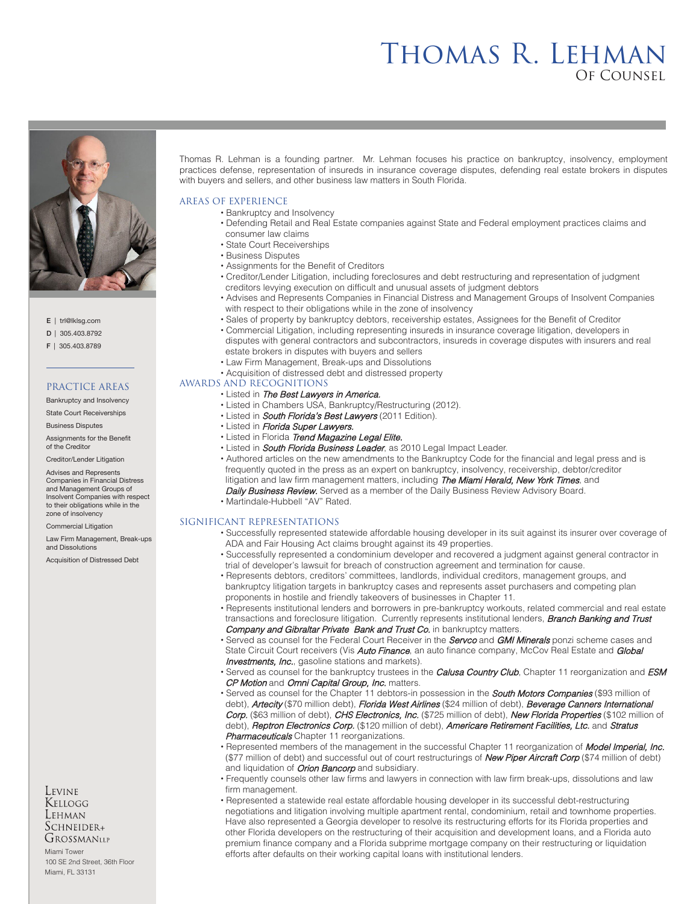# Thomas R. Lehman Of Counsel



E | trl@lklsg.com

- D | 305.403.8792
- F | 305.403.8789

## PRACTICE AREAS

Bankruptcy and Insolvency

State Court Receiverships Business Disputes

Assignments for the Benefit of the Creditor

Creditor/Lender Litigation

Advises and Represents Companies in Financial Distress and Management Groups of Insolvent Companies with respect to their obligations while in the zone of insolvency

Commercial Litigation

Law Firm Management, Break-ups and Dissolutions

Acquisition of Distressed Debt

### Levine Kellogg Lehman  $S$ CHNEIDER+ GROSSMANLLP

Miami Tower 100 SE 2nd Street, 36th Floor Miami, FL 33131

Thomas R. Lehman is a founding partner. Mr. Lehman focuses his practice on bankruptcy, insolvency, employment practices defense, representation of insureds in insurance coverage disputes, defending real estate brokers in disputes with buyers and sellers, and other business law matters in South Florida.

## AREAS OF EXPERIENCE

- Bankruptcy and Insolvency
- Defending Retail and Real Estate companies against State and Federal employment practices claims and consumer law claims
- State Court Receiverships
- Business Disputes
- Assignments for the Benefit of Creditors
- Creditor/Lender Litigation, including foreclosures and debt restructuring and representation of judgment creditors levying execution on difficult and unusual assets of judgment debtors
- Advises and Represents Companies in Financial Distress and Management Groups of Insolvent Companies with respect to their obligations while in the zone of insolvency
- Sales of property by bankruptcy debtors, receivership estates, Assignees for the Benefit of Creditor
- Commercial Litigation, including representing insureds in insurance coverage litigation, developers in disputes with general contractors and subcontractors, insureds in coverage disputes with insurers and real estate brokers in disputes with buyers and sellers
- Law Firm Management, Break-ups and Dissolutions
- Acquisition of distressed debt and distressed property

### AWARDS AND RECOGNITIONS

#### • Listed in The Best Lawyers in America.

- Listed in Chambers USA, Bankruptcy/Restructuring (2012).
- Listed in South Florida's Best Lawyers (2011 Edition).
- Listed in Florida Super Lawyers.
- Listed in Florida Trend Magazine Legal Elite.
- Listed in **South Florida Business Leader**, as 2010 Legal Impact Leader.
- Authored articles on the new amendments to the Bankruptcy Code for the financial and legal press and is frequently quoted in the press as an expert on bankruptcy, insolvency, receivership, debtor/creditor litigation and law firm management matters, including The Miami Herald, New York Times, and
- Daily Business Review. Served as a member of the Daily Business Review Advisory Board.
- Martindale-Hubbell "AV" Rated.

## SIGNIFICANT REPRESENTATIONS

- Successfully represented statewide affordable housing developer in its suit against its insurer over coverage of ADA and Fair Housing Act claims brought against its 49 properties.
- Successfully represented a condominium developer and recovered a judgment against general contractor in trial of developer's lawsuit for breach of construction agreement and termination for cause.
- Represents debtors, creditors' committees, landlords, individual creditors, management groups, and bankruptcy litigation targets in bankruptcy cases and represents asset purchasers and competing plan proponents in hostile and friendly takeovers of businesses in Chapter 11.
- Represents institutional lenders and borrowers in pre-bankruptcy workouts, related commercial and real estate transactions and foreclosure litigation. Currently represents institutional lenders, **Branch Banking and Trust** Company and Gibraltar Private Bank and Trust Co. in bankruptcy matters.
- Served as counsel for the Federal Court Receiver in the **Servco** and **GMI Minerals** ponzi scheme cases and State Circuit Court receivers (Vis **Auto Finance**, an auto finance company, McCov Real Estate and **Global Investments, Inc.**, gasoline stations and markets).
- Served as counsel for the bankruptcy trustees in the *Calusa Country Club*, Chapter 11 reorganization and ESM CP Motion and Omni Capital Group, Inc. matters.
- Served as counsel for the Chapter 11 debtors-in possession in the **South Motors Companies** (\$93 million of debt), Artecity (\$70 million debt), Florida West Airlines (\$24 million of debt), Beverage Canners International Corp. (\$63 million of debt), CHS Electronics, Inc. (\$725 million of debt), New Florida Properties (\$102 million of debt), *Reptron Electronics Corp.* (\$120 million of debt), *Americare Retirement Facilities, Ltc.* and *Stratus* Pharmaceuticals Chapter 11 reorganizations.
- Represented members of the management in the successful Chapter 11 reorganization of Model Imperial, Inc. (\$77 million of debt) and successful out of court restructurings of *New Piper Aircraft Corp* (\$74 million of debt) and liquidation of **Orion Bancorp** and subsidiary.
- Frequently counsels other law firms and lawyers in connection with law firm break-ups, dissolutions and law firm management.
- Represented a statewide real estate affordable housing developer in its successful debt-restructuring negotiations and litigation involving multiple apartment rental, condominium, retail and townhome properties. Have also represented a Georgia developer to resolve its restructuring efforts for its Florida properties and other Florida developers on the restructuring of their acquisition and development loans, and a Florida auto premium finance company and a Florida subprime mortgage company on their restructuring or liquidation efforts after defaults on their working capital loans with institutional lenders.